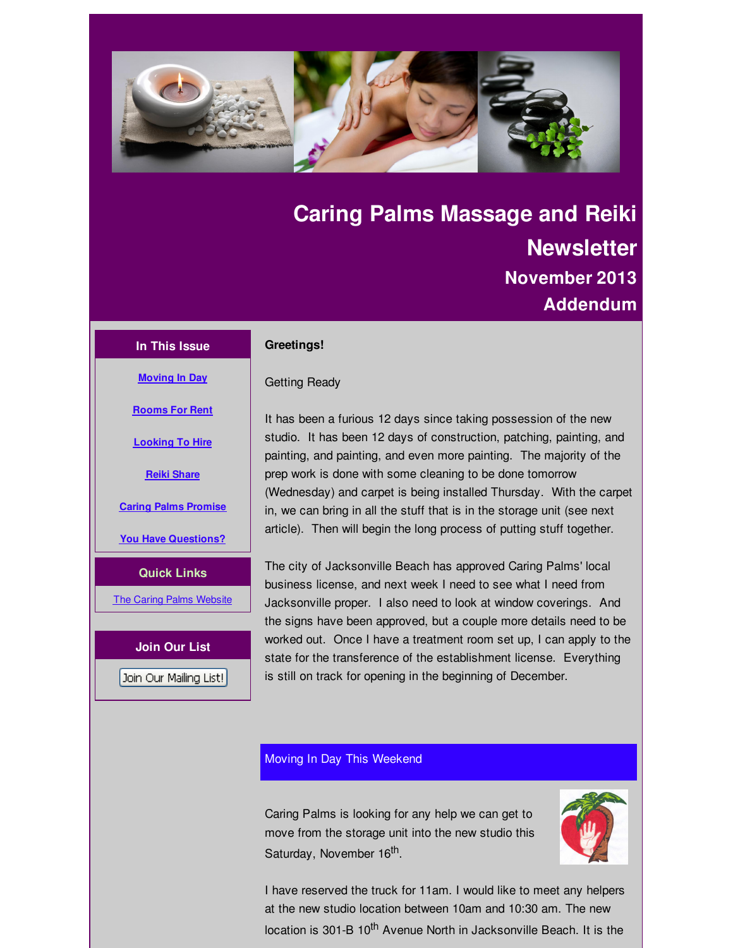<span id="page-0-0"></span>

# **Caring Palms Massage and Reiki Newsletter November 2013 Addendum**

## **In This Issue**

### **Greetings!**

**[Moving](#page-0-0) In Day**

**[Rooms](#page-0-0) For Rent**

**[Looking](#page-0-0) To Hire**

**Reiki [Share](#page-0-0)**

**Caring Palms [Promise](#page-0-0)**

**You Have [Questions?](#page-0-0)**

**Quick Links**

**The Caring Palms [Website](http://r20.rs6.net/tn.jsp?f=001y1ltD-1ldJDzDiVwNHG-Es5HooYJqU2RTJRjSvwn_LiyjeQXwVNZuK_Hwz_dAh0gU0j38zH6r_SoM4DEZXn60gmlZJp0PzjpklJyKnnrmn7NWeeGtH5PKCVpzZE7pgR-uIyHZnMINFrmQCwEVtuMVLKqeVxqVp_gA5FapSDhZpk=&c=&ch=)** 

**Join Our List**

Join Our Mailing List!

Getting Ready

It has been a furious 12 days since taking possession of the new studio. It has been 12 days of construction, patching, painting, and painting, and painting, and even more painting. The majority of the prep work is done with some cleaning to be done tomorrow (Wednesday) and carpet is being installed Thursday. With the carpet in, we can bring in all the stuff that is in the storage unit (see next article). Then will begin the long process of putting stuff together.

The city of Jacksonville Beach has approved Caring Palms' local business license, and next week I need to see what I need from Jacksonville proper. I also need to look at window coverings. And the signs have been approved, but a couple more details need to be worked out. Once I have a treatment room set up, I can apply to the state for the transference of the establishment license. Everything is still on track for opening in the beginning of December.

# Moving In Day This Weekend

Caring Palms is looking for any help we can get to move from the storage unit into the new studio this Saturday, November 16<sup>th</sup>.



I have reserved the truck for 11am. I would like to meet any helpers at the new studio location between 10am and 10:30 am. The new location is 301-B 10<sup>th</sup> Avenue North in Jacksonville Beach. It is the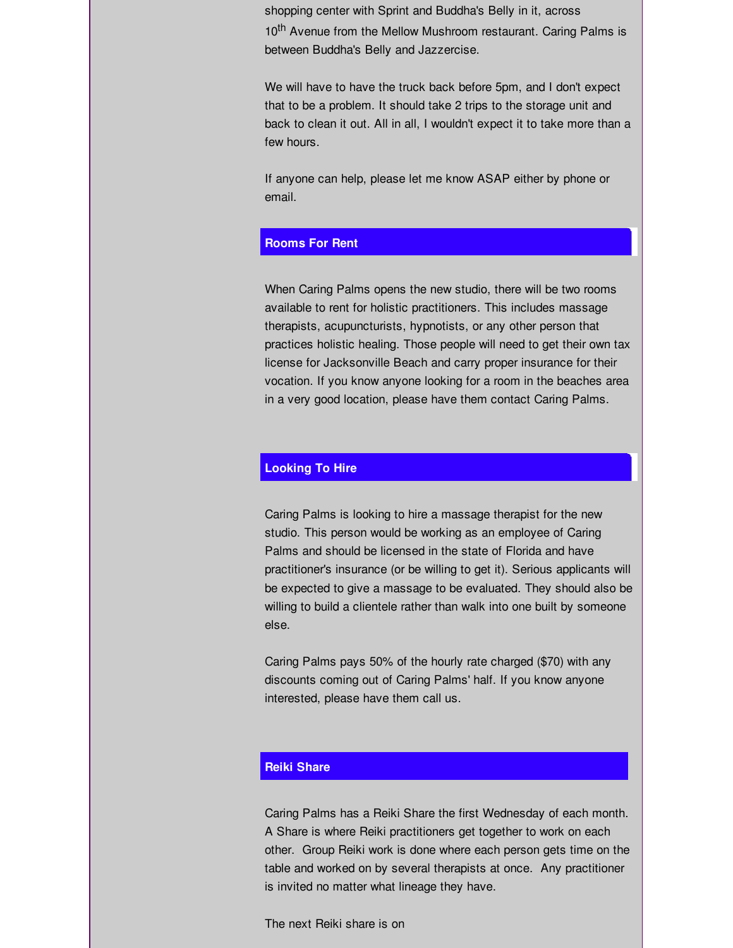shopping center with Sprint and Buddha's Belly in it, across 10<sup>th</sup> Avenue from the Mellow Mushroom restaurant. Caring Palms is between Buddha's Belly and Jazzercise.

We will have to have the truck back before 5pm, and I don't expect that to be a problem. It should take 2 trips to the storage unit and back to clean it out. All in all, I wouldn't expect it to take more than a few hours.

If anyone can help, please let me know ASAP either by phone or email.

## **Rooms For Rent**

When Caring Palms opens the new studio, there will be two rooms available to rent for holistic practitioners. This includes massage therapists, acupuncturists, hypnotists, or any other person that practices holistic healing. Those people will need to get their own tax license for Jacksonville Beach and carry proper insurance for their vocation. If you know anyone looking for a room in the beaches area in a very good location, please have them contact Caring Palms.

# **Looking To Hire**

Caring Palms is looking to hire a massage therapist for the new studio. This person would be working as an employee of Caring Palms and should be licensed in the state of Florida and have practitioner's insurance (or be willing to get it). Serious applicants will be expected to give a massage to be evaluated. They should also be willing to build a clientele rather than walk into one built by someone else.

Caring Palms pays 50% of the hourly rate charged (\$70) with any discounts coming out of Caring Palms' half. If you know anyone interested, please have them call us.

## **Reiki Share**

Caring Palms has a Reiki Share the first Wednesday of each month. A Share is where Reiki practitioners get together to work on each other. Group Reiki work is done where each person gets time on the table and worked on by several therapists at once. Any practitioner is invited no matter what lineage they have.

The next Reiki share is on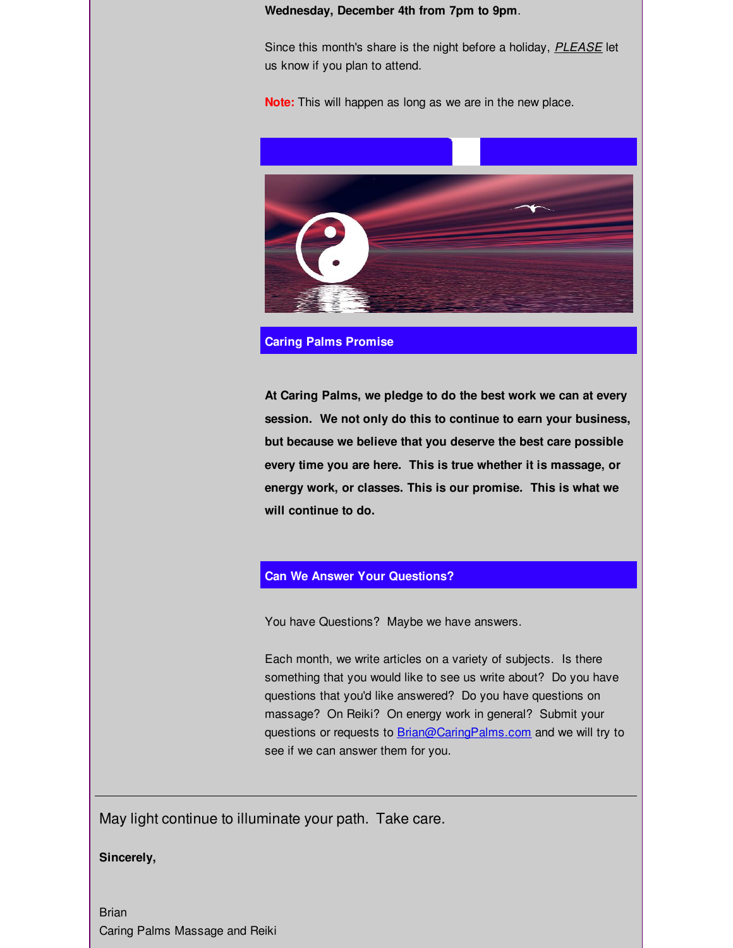### **Wednesday, December 4th from 7pm to 9pm**.

Since this month's share is the night before a holiday, *PLEASE* let us know if you plan to attend.

**Note:** This will happen as long as we are in the new place.



#### **Caring Palms Promise**

**At Caring Palms, we pledge to do the best work we can at every session. We not only do this to continue to earn your business, but because we believe that you deserve the best care possible every time you are here. This is true whether it is massage, or energy work, or classes. This is our promise. This is what we will continue to do.**

## **Can We Answer Your Questions?**

You have Questions? Maybe we have answers.

Each month, we write articles on a variety of subjects. Is there something that you would like to see us write about? Do you have questions that you'd like answered? Do you have questions on massage? On Reiki? On energy work in general? Submit your questions or requests to **[Brian@CaringPalms.com](mailto:Brian@CaringPalms.com)** and we will try to see if we can answer them for you.

May light continue to illuminate your path. Take care.

**Sincerely,**

Brian Caring Palms Massage and Reiki